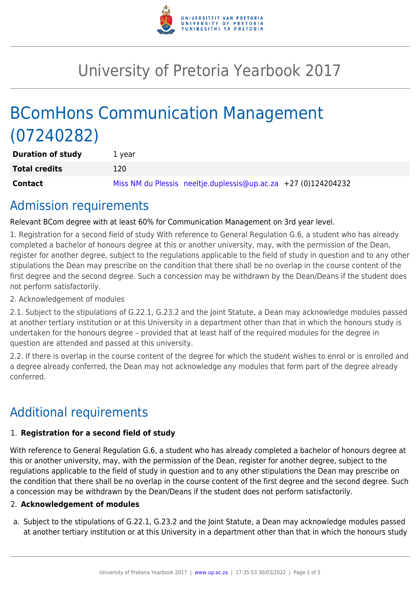

# University of Pretoria Yearbook 2017

# BComHons Communication Management (07240282)

| <b>Duration of study</b> | 1 vear                                                         |
|--------------------------|----------------------------------------------------------------|
| <b>Total credits</b>     | 120                                                            |
| Contact                  | Miss NM du Plessis neeltje.duplessis@up.ac.za +27 (0)124204232 |

## Admission requirements

Relevant BCom degree with at least 60% for Communication Management on 3rd year level.

1. Registration for a second field of study With reference to General Regulation G.6, a student who has already completed a bachelor of honours degree at this or another university, may, with the permission of the Dean, register for another degree, subject to the regulations applicable to the field of study in question and to any other stipulations the Dean may prescribe on the condition that there shall be no overlap in the course content of the first degree and the second degree. Such a concession may be withdrawn by the Dean/Deans if the student does not perform satisfactorily.

#### 2. Acknowledgement of modules

2.1. Subject to the stipulations of G.22.1, G.23.2 and the Joint Statute, a Dean may acknowledge modules passed at another tertiary institution or at this University in a department other than that in which the honours study is undertaken for the honours degree – provided that at least half of the required modules for the degree in question are attended and passed at this university.

2.2. If there is overlap in the course content of the degree for which the student wishes to enrol or is enrolled and a degree already conferred, the Dean may not acknowledge any modules that form part of the degree already conferred.

# Additional requirements

#### 1. **Registration for a second field of study**

With reference to General Regulation G.6, a student who has already completed a bachelor of honours degree at this or another university, may, with the permission of the Dean, register for another degree, subject to the regulations applicable to the field of study in question and to any other stipulations the Dean may prescribe on the condition that there shall be no overlap in the course content of the first degree and the second degree. Such a concession may be withdrawn by the Dean/Deans if the student does not perform satisfactorily.

#### 2. **Acknowledgement of modules**

a. Subject to the stipulations of G.22.1, G.23.2 and the Joint Statute, a Dean may acknowledge modules passed at another tertiary institution or at this University in a department other than that in which the honours study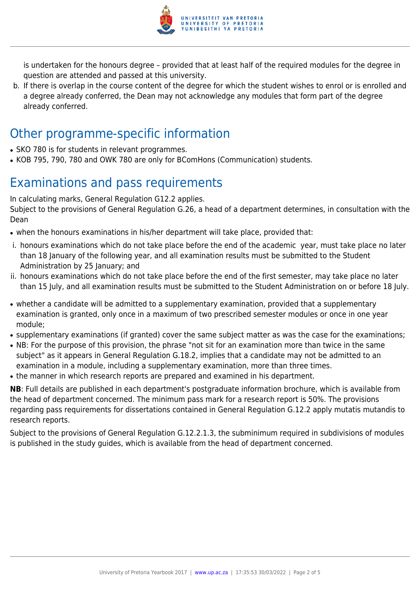

is undertaken for the honours degree – provided that at least half of the required modules for the degree in question are attended and passed at this university.

b. If there is overlap in the course content of the degree for which the student wishes to enrol or is enrolled and a degree already conferred, the Dean may not acknowledge any modules that form part of the degree already conferred.

## Other programme-specific information

- SKO 780 is for students in relevant programmes.
- KOB 795, 790, 780 and OWK 780 are only for BComHons (Communication) students.

# Examinations and pass requirements

In calculating marks, General Regulation G12.2 applies.

Subject to the provisions of General Regulation G.26, a head of a department determines, in consultation with the Dean

- when the honours examinations in his/her department will take place, provided that:
- i. honours examinations which do not take place before the end of the academic year, must take place no later than 18 January of the following year, and all examination results must be submitted to the Student Administration by 25 January; and
- ii. honours examinations which do not take place before the end of the first semester, may take place no later than 15 July, and all examination results must be submitted to the Student Administration on or before 18 July.
- whether a candidate will be admitted to a supplementary examination, provided that a supplementary examination is granted, only once in a maximum of two prescribed semester modules or once in one year module;
- supplementary examinations (if granted) cover the same subject matter as was the case for the examinations;
- NB: For the purpose of this provision, the phrase "not sit for an examination more than twice in the same subject" as it appears in General Regulation G.18.2, implies that a candidate may not be admitted to an examination in a module, including a supplementary examination, more than three times.
- the manner in which research reports are prepared and examined in his department.

**NB**: Full details are published in each department's postgraduate information brochure, which is available from the head of department concerned. The minimum pass mark for a research report is 50%. The provisions regarding pass requirements for dissertations contained in General Regulation G.12.2 apply mutatis mutandis to research reports.

Subject to the provisions of General Regulation G.12.2.1.3, the subminimum required in subdivisions of modules is published in the study guides, which is available from the head of department concerned.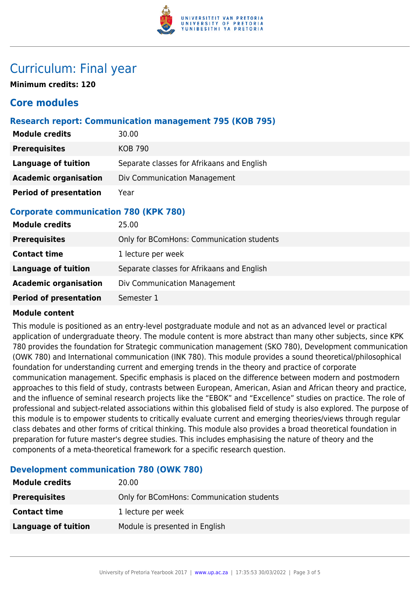

## Curriculum: Final year

**Minimum credits: 120**

### **Core modules**

#### **Research report: Communication management 795 (KOB 795)**

| <b>Module credits</b>         | 30.00                                      |
|-------------------------------|--------------------------------------------|
| <b>Prerequisites</b>          | <b>KOB 790</b>                             |
| <b>Language of tuition</b>    | Separate classes for Afrikaans and English |
| <b>Academic organisation</b>  | Div Communication Management               |
| <b>Period of presentation</b> | Year                                       |

#### **Corporate communication 780 (KPK 780)**

| <b>Module credits</b>         | 25.00                                      |
|-------------------------------|--------------------------------------------|
| <b>Prerequisites</b>          | Only for BComHons: Communication students  |
| <b>Contact time</b>           | 1 lecture per week                         |
| Language of tuition           | Separate classes for Afrikaans and English |
| <b>Academic organisation</b>  | Div Communication Management               |
| <b>Period of presentation</b> | Semester 1                                 |

#### **Module content**

This module is positioned as an entry-level postgraduate module and not as an advanced level or practical application of undergraduate theory. The module content is more abstract than many other subjects, since KPK 780 provides the foundation for Strategic communication management (SKO 780), Development communication (OWK 780) and International communication (INK 780). This module provides a sound theoretical/philosophical foundation for understanding current and emerging trends in the theory and practice of corporate communication management. Specific emphasis is placed on the difference between modern and postmodern approaches to this field of study, contrasts between European, American, Asian and African theory and practice, and the influence of seminal research projects like the "EBOK" and "Excellence" studies on practice. The role of professional and subject-related associations within this globalised field of study is also explored. The purpose of this module is to empower students to critically evaluate current and emerging theories/views through regular class debates and other forms of critical thinking. This module also provides a broad theoretical foundation in preparation for future master's degree studies. This includes emphasising the nature of theory and the components of a meta-theoretical framework for a specific research question.

#### **Development communication 780 (OWK 780)**

| <b>Module credits</b> | 20.00                                     |
|-----------------------|-------------------------------------------|
| <b>Prerequisites</b>  | Only for BComHons: Communication students |
| <b>Contact time</b>   | 1 lecture per week                        |
| Language of tuition   | Module is presented in English            |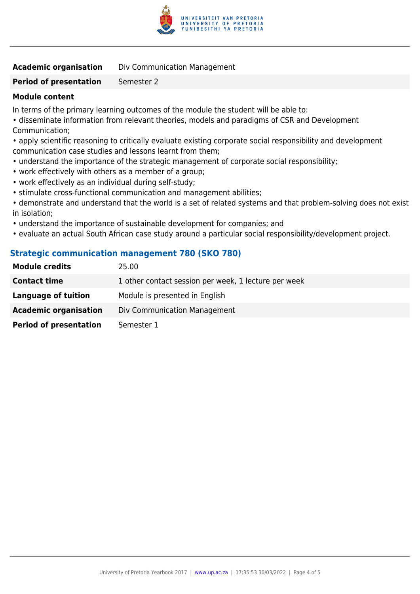

**Academic organisation** Div Communication Management

### **Period of presentation** Semester 2

### **Module content**

In terms of the primary learning outcomes of the module the student will be able to:

• disseminate information from relevant theories, models and paradigms of CSR and Development Communication;

• apply scientific reasoning to critically evaluate existing corporate social responsibility and development communication case studies and lessons learnt from them;

- understand the importance of the strategic management of corporate social responsibility;
- work effectively with others as a member of a group;
- work effectively as an individual during self-study;
- stimulate cross-functional communication and management abilities;
- demonstrate and understand that the world is a set of related systems and that problem-solving does not exist in isolation;
- understand the importance of sustainable development for companies; and
- evaluate an actual South African case study around a particular social responsibility/development project.

### **Strategic communication management 780 (SKO 780)**

| <b>Module credits</b>         | 25.00                                                |
|-------------------------------|------------------------------------------------------|
| <b>Contact time</b>           | 1 other contact session per week, 1 lecture per week |
| Language of tuition           | Module is presented in English                       |
| <b>Academic organisation</b>  | Div Communication Management                         |
| <b>Period of presentation</b> | Semester 1                                           |